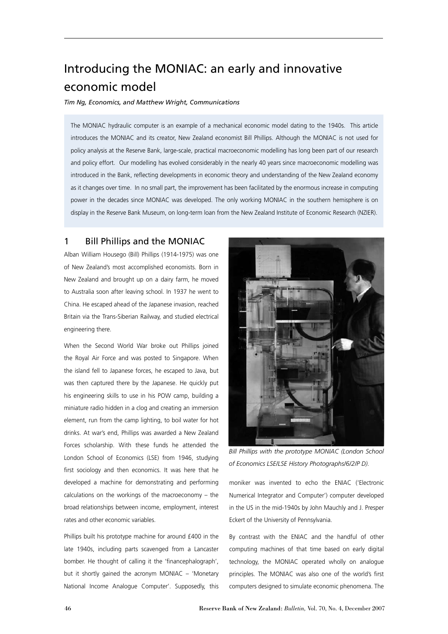# Introducing the MONIAC: an early and innovative economic model

*Tim Ng, Economics, and Matthew Wright, Communications*

The MONIAC hydraulic computer is an example of a mechanical economic model dating to the 1940s. This article introduces the MONIAC and its creator, New Zealand economist Bill Phillips. Although the MONIAC is not used for policy analysis at the Reserve Bank, large-scale, practical macroeconomic modelling has long been part of our research and policy effort. Our modelling has evolved considerably in the nearly 40 years since macroeconomic modelling was introduced in the Bank, reflecting developments in economic theory and understanding of the New Zealand economy as it changes over time. In no small part, the improvement has been facilitated by the enormous increase in computing power in the decades since MONIAC was developed. The only working MONIAC in the southern hemisphere is on display in the Reserve Bank Museum, on long-term loan from the New Zealand Institute of Economic Research (NZIER).

#### 1 Bill Phillips and the MONIAC

Alban William Housego (Bill) Phillips (1914-1975) was one of New Zealand's most accomplished economists. Born in New Zealand and brought up on a dairy farm, he moved to Australia soon after leaving school. In 1937 he went to China. He escaped ahead of the Japanese invasion, reached Britain via the Trans-Siberian Railway, and studied electrical engineering there.

When the Second World War broke out Phillips joined the Royal Air Force and was posted to Singapore. When the island fell to Japanese forces, he escaped to Java, but was then captured there by the Japanese. He quickly put his engineering skills to use in his POW camp, building a miniature radio hidden in a clog and creating an immersion element, run from the camp lighting, to boil water for hot drinks. At war's end, Phillips was awarded a New Zealand Forces scholarship. With these funds he attended the London School of Economics (LSE) from 1946, studying first sociology and then economics. It was here that he developed a machine for demonstrating and performing calculations on the workings of the macroeconomy – the broad relationships between income, employment, interest rates and other economic variables.

Phillips built his prototype machine for around £400 in the late 1940s, including parts scavenged from a Lancaster bomber. He thought of calling it the 'financephalograph', but it shortly gained the acronym MONIAC – 'Monetary National Income Analogue Computer'. Supposedly, this



**Bill Phillips with the prototype MONIAC (London School** *of Economics LSE/LSE History Photographs/6/2/P D).*

moniker was invented to echo the ENIAC ('Electronic Numerical Integrator and Computer') computer developed in the US in the mid-1940s by John Mauchly and J. Presper Eckert of the University of Pennsylvania.

By contrast with the ENIAC and the handful of other computing machines of that time based on early digital technology, the MONIAC operated wholly on analogue principles. The MONIAC was also one of the world's first computers designed to simulate economic phenomena. The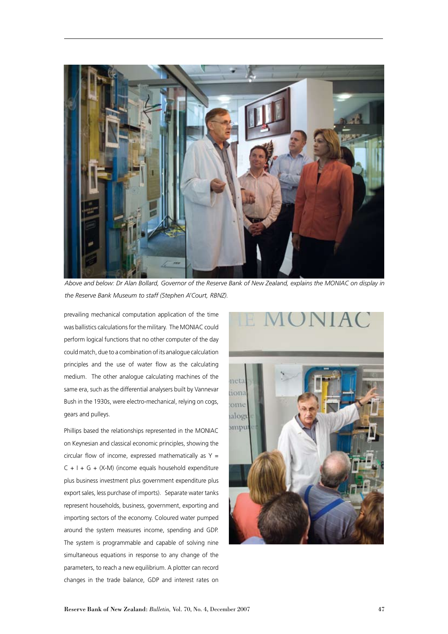

*Above and below: Dr Alan Bollard, Governor of the Reserve Bank of New Zealand, explains the MONIAC on display in the Reserve Bank Museum to staff (Stephen A'Court, RBNZ).*

prevailing mechanical computation application of the time was ballistics calculations for the military. The MONIAC could perform logical functions that no other computer of the day could match, due to a combination of its analogue calculation principles and the use of water flow as the calculating medium. The other analogue calculating machines of the same era, such as the differential analysers built by Vannevar Bush in the 1930s, were electro-mechanical, relying on cogs, gears and pulleys.

Phillips based the relationships represented in the MONIAC on Keynesian and classical economic principles, showing the circular flow of income, expressed mathematically as  $Y =$  $C + I + G + (X-M)$  (income equals household expenditure plus business investment plus government expenditure plus export sales, less purchase of imports). Separate water tanks represent households, business, government, exporting and importing sectors of the economy. Coloured water pumped around the system measures income, spending and GDP. The system is programmable and capable of solving nine simultaneous equations in response to any change of the parameters, to reach a new equilibrium. A plotter can record changes in the trade balance, GDP and interest rates on

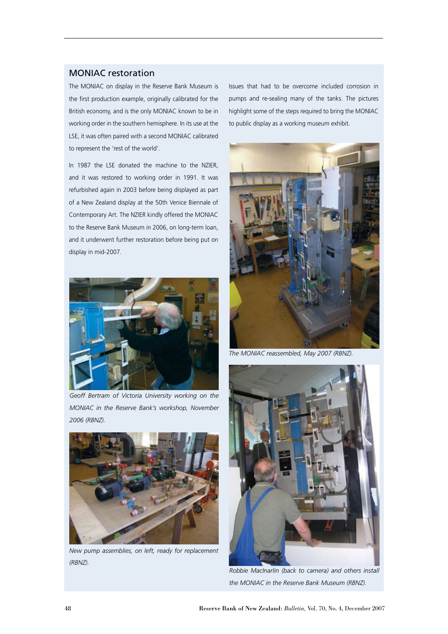#### MONIAC restoration

The MONIAC on display in the Reserve Bank Museum is the first production example, originally calibrated for the British economy, and is the only MONIAC known to be in working order in the southern hemisphere. In its use at the LSE, it was often paired with a second MONIAC calibrated to represent the 'rest of the world'.

In 1987 the LSE donated the machine to the NZIER, and it was restored to working order in 1991. It was refurbished again in 2003 before being displayed as part of a New Zealand display at the 50th Venice Biennale of Contemporary Art. The NZIER kindly offered the MONIAC to the Reserve Bank Museum in 2006, on long-term loan, and it underwent further restoration before being put on display in mid-2007.



*Geoff Bertram of Victoria University working on the MONIAC in the Reserve Bank's workshop, November 2006 (RBNZ).*



*New pump assemblies, on left, ready for replacement (RBNZ).*

Issues that had to be overcome included corrosion in pumps and re-sealing many of the tanks. The pictures highlight some of the steps required to bring the MONIAC to public display as a working museum exhibit.



*The MONIAC reassembled, May 2007 (RBNZ).*



*Robbie MacInarlin (back to camera) and others install the MONIAC in the Reserve Bank Museum (RBNZ).*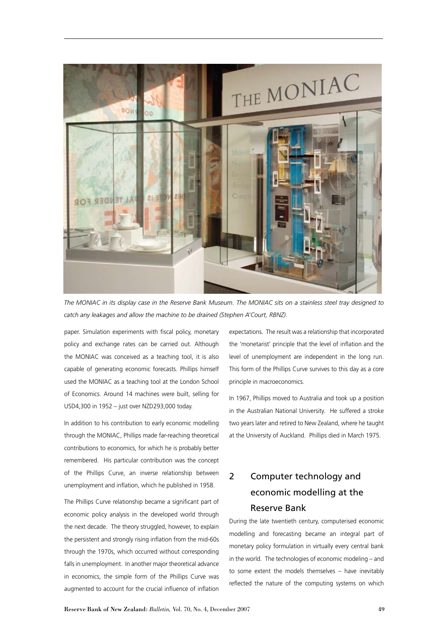

*The MONIAC in its display case in the Reserve Bank Museum. The MONIAC sits on a stainless steel tray designed to catch any leakages and allow the machine to be drained (Stephen A'Court, RBNZ).*

paper. Simulation experiments with fiscal policy, monetary policy and exchange rates can be carried out. Although the MONIAC was conceived as a teaching tool, it is also capable of generating economic forecasts. Phillips himself used the MONIAC as a teaching tool at the London School of Economics. Around 14 machines were built, selling for USD4,300 in 1952 – just over NZD293,000 today.

In addition to his contribution to early economic modelling through the MONIAC, Phillips made far-reaching theoretical contributions to economics, for which he is probably better remembered. His particular contribution was the concept of the Phillips Curve, an inverse relationship between unemployment and inflation, which he published in 1958.

The Phillips Curve relationship became a significant part of economic policy analysis in the developed world through the next decade. The theory struggled, however, to explain the persistent and strongly rising inflation from the mid-60s through the 1970s, which occurred without corresponding falls in unemployment. In another major theoretical advance in economics, the simple form of the Phillips Curve was augmented to account for the crucial influence of inflation

expectations. The result was a relationship that incorporated the 'monetarist' principle that the level of inflation and the level of unemployment are independent in the long run. This form of the Phillips Curve survives to this day as a core principle in macroeconomics.

In 1967, Phillips moved to Australia and took up a position in the Australian National University. He suffered a stroke two years later and retired to New Zealand, where he taught at the University of Auckland. Phillips died in March 1975.

## 2 Computer technology and economic modelling at the Reserve Bank

During the late twentieth century, computerised economic modelling and forecasting became an integral part of monetary policy formulation in virtually every central bank in the world. The technologies of economic modeling – and to some extent the models themselves – have inevitably reflected the nature of the computing systems on which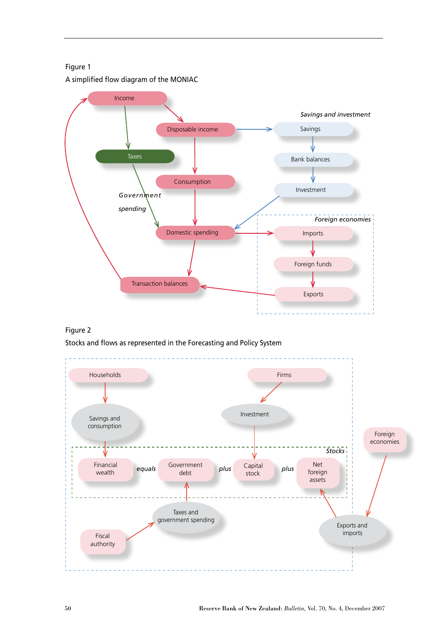Figure 1 A simplified flow diagram of the MONIAC



#### Figure 2

Stocks and flows as represented in the Forecasting and Policy System

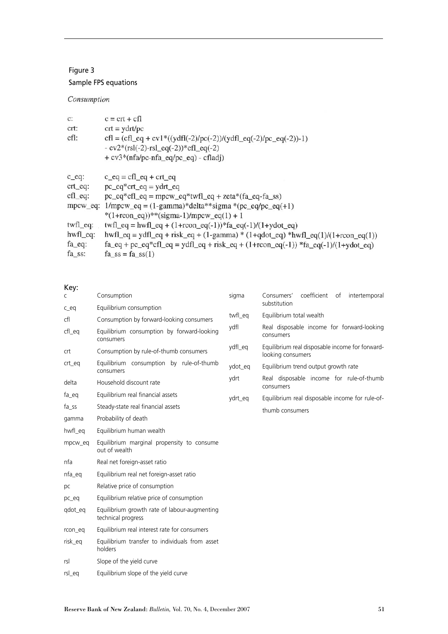### Figure 3

### Sample FPS equations

### Consumption

| $c = \text{crt} + \text{cfl}$                                                                                                                                |  |  |
|--------------------------------------------------------------------------------------------------------------------------------------------------------------|--|--|
| $\text{crt} = \text{ydrt/pc}$                                                                                                                                |  |  |
| $cfl = (cfl_eq + cvl * ((ydfl(-2)/pc(-2))/(ydfl_eq(-2)/pc_eq(-2)) - 1)$<br>$-cv2*(rsl(-2)-rsl\_eq(-2))*cfl\_eq(-2)$<br>+ cv3*(nfa/pc-nfa_eq/pc_eq) - cfladj) |  |  |
| $c_{eq} = cfl_{eq} + crt_{eq}$                                                                                                                               |  |  |
|                                                                                                                                                              |  |  |
| $pc\_eq*crt\_eq = ydrt\_eq$                                                                                                                                  |  |  |
| $pc\_eq*cfl\_eq = mpcw\_eq*twfl\_eq + zeta*(fa\_eq-fa\_ss)$                                                                                                  |  |  |
| mpcw_eq: $1/mpcw_eq = (1-gamma)*delta*sigma*signa*(pc_eq/pc_eq+1)$                                                                                           |  |  |
| *(1+rcon_eq))**(sigma-1)/mpcw_eq(1) + 1                                                                                                                      |  |  |
| $twfl_eq = hwfl_eq + (1+rcon_eq(-1)) * fa_eq(-1)/(1+ydot_eq)$                                                                                                |  |  |
| $hwl$ $eq = ydf$ $eq + risk$ $eq + (1-gamma) * (1 + qdoteq) * hwl$ $eq(1)/(1 + rconeq(1))$                                                                   |  |  |
| $fa_{eq} + pc_{eq} * cfl_{eq} = ydf_{eq} + risk_{eq} + (1 + rcon_{eq}(-1)) * fa_{eq}(-1)/(1 + ydot_{eq})$                                                    |  |  |
| $fa$ <sub>ss</sub> = $fa$ <sub>ss</sub> $(1)$                                                                                                                |  |  |
|                                                                                                                                                              |  |  |

### Key:

| C       | Consumption                                                        | sigma   | coefficient<br>Consumers'<br>of intertemporal<br>substitution        |
|---------|--------------------------------------------------------------------|---------|----------------------------------------------------------------------|
| $c$ eq  | Equilibrium consumption                                            |         |                                                                      |
| cfl     | Consumption by forward-looking consumers                           | twfl eg | Equilibrium total wealth                                             |
| cfl_eq  | Equilibrium consumption by forward-looking<br>consumers            | vdfl    | Real disposable income for forward-looking<br>consumers              |
| crt     | Consumption by rule-of-thumb consumers                             | ydfl_eq | Equilibrium real disposable income for forward-<br>looking consumers |
| crt_eq  | Equilibrium consumption by rule-of-thumb<br>consumers              | ydot_eq | Equilibrium trend output growth rate                                 |
| delta   | Household discount rate                                            | ydrt    | Real disposable income for rule-of-thumb<br>consumers                |
| fa_eq   | Equilibrium real financial assets                                  | ydrt_eq | Equilibrium real disposable income for rule-of-                      |
| fa_ss   | Steady-state real financial assets                                 |         | thumb consumers                                                      |
| gamma   | Probability of death                                               |         |                                                                      |
| hwfl_eq | Equilibrium human wealth                                           |         |                                                                      |
| mpcw_eq | Equilibrium marginal propensity to consume<br>out of wealth        |         |                                                                      |
| nfa     | Real net foreign-asset ratio                                       |         |                                                                      |
| nfa_eq  | Equilibrium real net foreign-asset ratio                           |         |                                                                      |
| pc      | Relative price of consumption                                      |         |                                                                      |
| pc_eq   | Equilibrium relative price of consumption                          |         |                                                                      |
| qdot_eq | Equilibrium growth rate of labour-augmenting<br>technical progress |         |                                                                      |
| rcon_eq | Equilibrium real interest rate for consumers                       |         |                                                                      |
| risk_eq | Equilibrium transfer to individuals from asset<br>holders          |         |                                                                      |
| rsl     | Slope of the yield curve                                           |         |                                                                      |
| rsl eg  | Equilibrium slope of the yield curve                               |         |                                                                      |